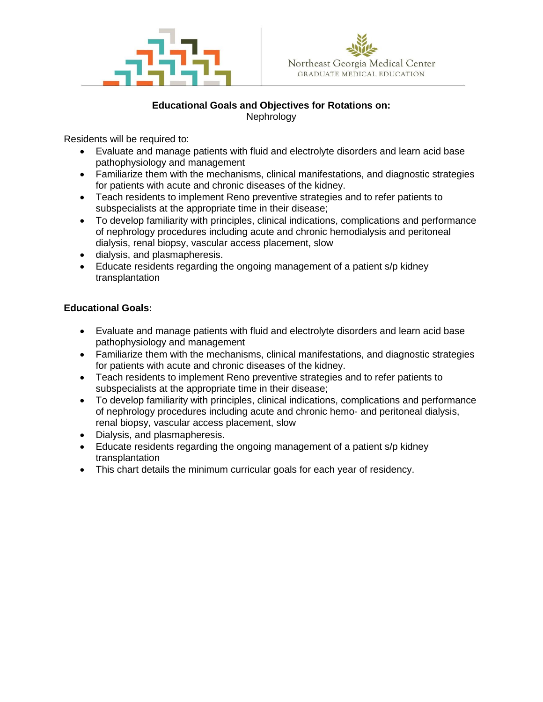

# **Educational Goals and Objectives for Rotations on:** Nephrology

Residents will be required to:

- Evaluate and manage patients with fluid and electrolyte disorders and learn acid base pathophysiology and management
- Familiarize them with the mechanisms, clinical manifestations, and diagnostic strategies for patients with acute and chronic diseases of the kidney.
- Teach residents to implement Reno preventive strategies and to refer patients to subspecialists at the appropriate time in their disease;
- To develop familiarity with principles, clinical indications, complications and performance of nephrology procedures including acute and chronic hemodialysis and peritoneal dialysis, renal biopsy, vascular access placement, slow
- dialysis, and plasmapheresis.
- Educate residents regarding the ongoing management of a patient s/p kidney transplantation

# **Educational Goals:**

- Evaluate and manage patients with fluid and electrolyte disorders and learn acid base pathophysiology and management
- Familiarize them with the mechanisms, clinical manifestations, and diagnostic strategies for patients with acute and chronic diseases of the kidney.
- Teach residents to implement Reno preventive strategies and to refer patients to subspecialists at the appropriate time in their disease;
- To develop familiarity with principles, clinical indications, complications and performance of nephrology procedures including acute and chronic hemo- and peritoneal dialysis, renal biopsy, vascular access placement, slow
- Dialysis, and plasmapheresis.
- Educate residents regarding the ongoing management of a patient s/p kidney transplantation
- This chart details the minimum curricular goals for each year of residency.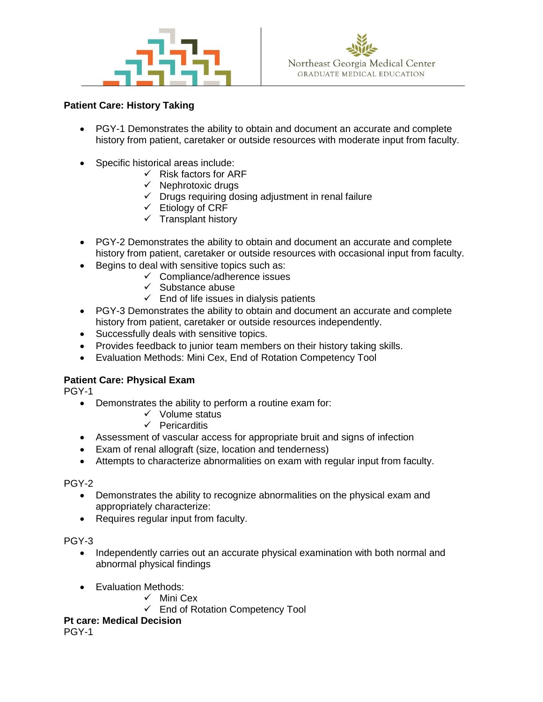



## **Patient Care: History Taking**

- PGY-1 Demonstrates the ability to obtain and document an accurate and complete history from patient, caretaker or outside resources with moderate input from faculty.
- Specific historical areas include:
	- $\checkmark$  Risk factors for ARF
		- $\checkmark$  Nephrotoxic drugs
		- $\checkmark$  Drugs requiring dosing adjustment in renal failure
		- $\checkmark$  Etiology of CRF
		- $\checkmark$  Transplant history
- PGY-2 Demonstrates the ability to obtain and document an accurate and complete history from patient, caretaker or outside resources with occasional input from faculty.
- Begins to deal with sensitive topics such as:
	- ✓ Compliance/adherence issues
	- $\checkmark$  Substance abuse
	- $\checkmark$  End of life issues in dialysis patients
- PGY-3 Demonstrates the ability to obtain and document an accurate and complete history from patient, caretaker or outside resources independently.
- Successfully deals with sensitive topics.
- Provides feedback to junior team members on their history taking skills.
- Evaluation Methods: Mini Cex, End of Rotation Competency Tool

# **Patient Care: Physical Exam**

PGY-1

- Demonstrates the ability to perform a routine exam for:
	- ✓ Volume status
	- ✓ Pericarditis
- Assessment of vascular access for appropriate bruit and signs of infection
- Exam of renal allograft (size, location and tenderness)
- Attempts to characterize abnormalities on exam with regular input from faculty.

### PGY-2

- Demonstrates the ability to recognize abnormalities on the physical exam and appropriately characterize:
- Requires regular input from faculty.

### PGY-3

- Independently carries out an accurate physical examination with both normal and abnormal physical findings
- Evaluation Methods:
	- ✓ Mini Cex
	- ✓ End of Rotation Competency Tool

**Pt care: Medical Decision**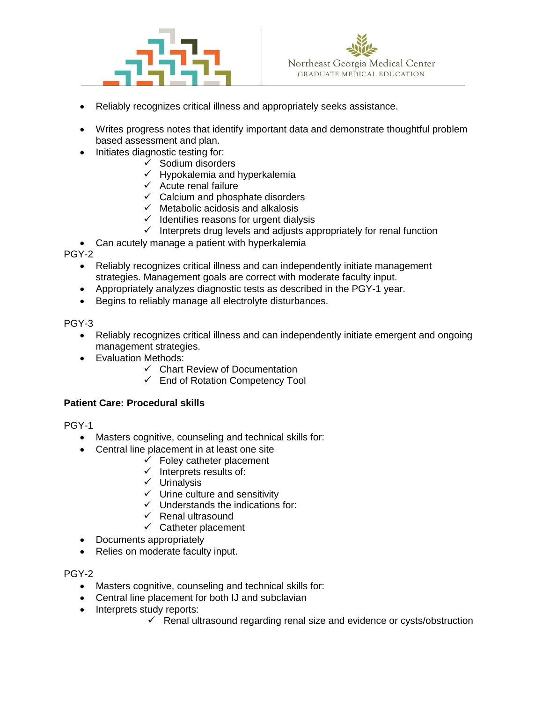



- Reliably recognizes critical illness and appropriately seeks assistance.
- Writes progress notes that identify important data and demonstrate thoughtful problem based assessment and plan.
- Initiates diagnostic testing for:
	- ✓ Sodium disorders
	- $\checkmark$  Hypokalemia and hyperkalemia
	- $\checkmark$  Acute renal failure
	- $\checkmark$  Calcium and phosphate disorders
	- $\checkmark$  Metabolic acidosis and alkalosis
	- $\checkmark$  Identifies reasons for urgent dialysis
	- $\checkmark$  Interprets drug levels and adjusts appropriately for renal function
- Can acutely manage a patient with hyperkalemia

PGY-2

- Reliably recognizes critical illness and can independently initiate management strategies. Management goals are correct with moderate faculty input.
- Appropriately analyzes diagnostic tests as described in the PGY-1 year.
- Begins to reliably manage all electrolyte disturbances.

PGY-3

- Reliably recognizes critical illness and can independently initiate emergent and ongoing management strategies.
- Evaluation Methods:
	- ✓ Chart Review of Documentation
	- ✓ End of Rotation Competency Tool

### **Patient Care: Procedural skills**

PGY-1

- Masters cognitive, counseling and technical skills for:
- Central line placement in at least one site
	- $\checkmark$  Foley catheter placement
		- $\checkmark$  Interprets results of:
		- ✓ Urinalysis
		- ✓ Urine culture and sensitivity
		- $\checkmark$  Understands the indications for:
		- ✓ Renal ultrasound
		- $\checkmark$  Catheter placement
- Documents appropriately
- Relies on moderate faculty input.

- Masters cognitive, counseling and technical skills for:
- Central line placement for both IJ and subclavian
- Interprets study reports:
	- $\checkmark$  Renal ultrasound regarding renal size and evidence or cysts/obstruction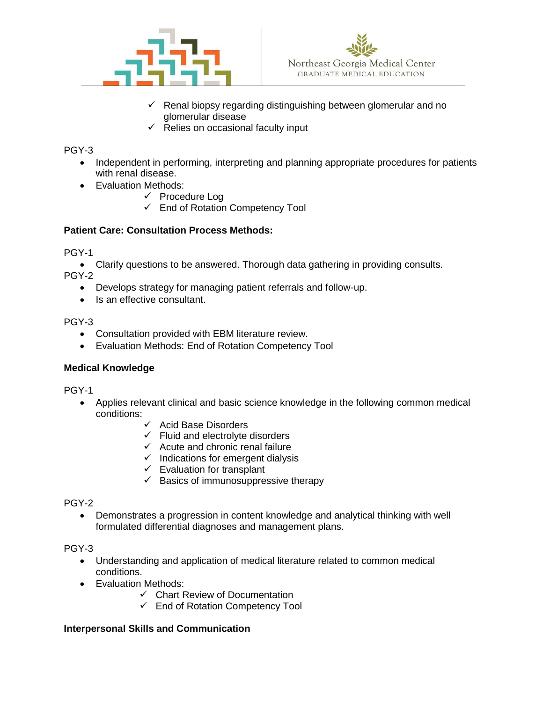



- $\checkmark$  Renal biopsy regarding distinguishing between glomerular and no glomerular disease
- $\checkmark$  Relies on occasional faculty input

# PGY-3

- Independent in performing, interpreting and planning appropriate procedures for patients with renal disease.
- Evaluation Methods:
	- ✓ Procedure Log
	- ✓ End of Rotation Competency Tool

# **Patient Care: Consultation Process Methods:**

PGY-1

• Clarify questions to be answered. Thorough data gathering in providing consults.

PGY-2

- Develops strategy for managing patient referrals and follow-up.
- Is an effective consultant.

PGY-3

- Consultation provided with EBM literature review.
- Evaluation Methods: End of Rotation Competency Tool

# **Medical Knowledge**

PGY-1

- Applies relevant clinical and basic science knowledge in the following common medical conditions:
	- $\checkmark$  Acid Base Disorders
	- $\checkmark$  Fluid and electrolyte disorders
	- $\checkmark$  Acute and chronic renal failure
	- $\checkmark$  Indications for emergent dialysis
	- $\checkmark$  Evaluation for transplant
	- $\checkmark$  Basics of immunosuppressive therapy

PGY-2

• Demonstrates a progression in content knowledge and analytical thinking with well formulated differential diagnoses and management plans.

PGY-3

- Understanding and application of medical literature related to common medical conditions.
- Evaluation Methods:
	- ✓ Chart Review of Documentation
	- ✓ End of Rotation Competency Tool

# **Interpersonal Skills and Communication**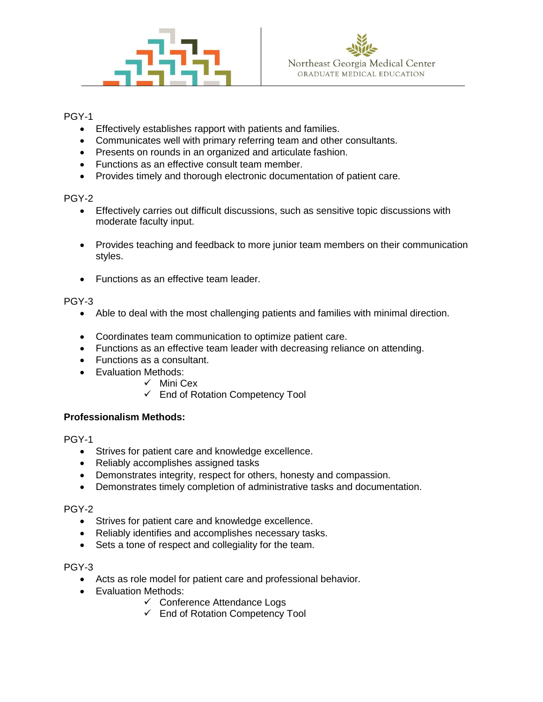



## PGY-1

- Effectively establishes rapport with patients and families.
- Communicates well with primary referring team and other consultants.
- Presents on rounds in an organized and articulate fashion.
- Functions as an effective consult team member.
- Provides timely and thorough electronic documentation of patient care.

### PGY-2

- Effectively carries out difficult discussions, such as sensitive topic discussions with moderate faculty input.
- Provides teaching and feedback to more junior team members on their communication styles.
- Functions as an effective team leader.

# PGY-3

- Able to deal with the most challenging patients and families with minimal direction.
- Coordinates team communication to optimize patient care.
- Functions as an effective team leader with decreasing reliance on attending.
- Functions as a consultant.
- Evaluation Methods:
	- ✓ Mini Cex
	- ✓ End of Rotation Competency Tool

# **Professionalism Methods:**

PGY-1

- Strives for patient care and knowledge excellence.
- Reliably accomplishes assigned tasks
- Demonstrates integrity, respect for others, honesty and compassion.
- Demonstrates timely completion of administrative tasks and documentation.

### PGY-2

- Strives for patient care and knowledge excellence.
- Reliably identifies and accomplishes necessary tasks.
- Sets a tone of respect and collegiality for the team.

- Acts as role model for patient care and professional behavior.
- Evaluation Methods:
	- ✓ Conference Attendance Logs
	- ✓ End of Rotation Competency Tool